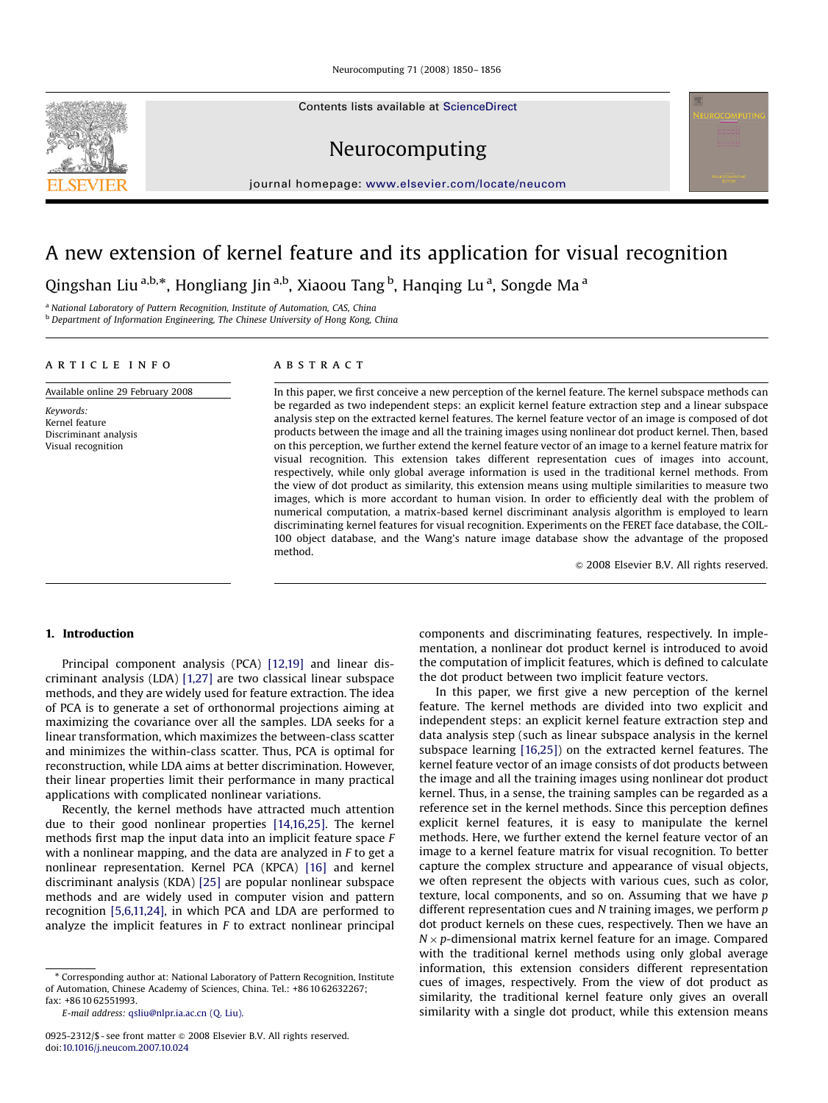Neurocomputing 71 (2008) 1850– 1856

Contents lists available at [ScienceDirect](www.sciencedirect.com/science/journal/neucom)

Neurocomputing

journal homepage: <www.elsevier.com/locate/neucom>

# A new extension of kernel feature and its application for visual recognition

Qingshan Liu <sup>a,b,</sup>\*, Hongliang Jin <sup>a,b</sup>, Xiaoou Tang <sup>b</sup>, Hanqing Lu <sup>a</sup>, Songde Ma <sup>a</sup>

<sup>a</sup> National Laboratory of Pattern Recognition, Institute of Automation, CAS, China

**b** Department of Information Engineering, The Chinese University of Hong Kong, China

# article info

# **ABSTRACT**

Available online 29 February 2008

Keywords: Kernel feature Discriminant analysis Visual recognition

In this paper, we first conceive a new perception of the kernel feature. The kernel subspace methods can be regarded as two independent steps: an explicit kernel feature extraction step and a linear subspace analysis step on the extracted kernel features. The kernel feature vector of an image is composed of dot products between the image and all the training images using nonlinear dot product kernel. Then, based on this perception, we further extend the kernel feature vector of an image to a kernel feature matrix for visual recognition. This extension takes different representation cues of images into account, respectively, while only global average information is used in the traditional kernel methods. From the view of dot product as similarity, this extension means using multiple similarities to measure two images, which is more accordant to human vision. In order to efficiently deal with the problem of numerical computation, a matrix-based kernel discriminant analysis algorithm is employed to learn discriminating kernel features for visual recognition. Experiments on the FERET face database, the COIL-100 object database, and the Wang's nature image database show the advantage of the proposed method.

 $\odot$  2008 Elsevier B.V. All rights reserved.

# 1. Introduction

Principal component analysis (PCA) [\[12,19\]](#page-5-0) and linear discriminant analysis (LDA) [\[1,27\]](#page-5-0) are two classical linear subspace methods, and they are widely used for feature extraction. The idea of PCA is to generate a set of orthonormal projections aiming at maximizing the covariance over all the samples. LDA seeks for a linear transformation, which maximizes the between-class scatter and minimizes the within-class scatter. Thus, PCA is optimal for reconstruction, while LDA aims at better discrimination. However, their linear properties limit their performance in many practical applications with complicated nonlinear variations.

Recently, the kernel methods have attracted much attention due to their good nonlinear properties [\[14,16,25\].](#page-5-0) The kernel methods first map the input data into an implicit feature space F with a nonlinear mapping, and the data are analyzed in F to get a nonlinear representation. Kernel PCA (KPCA) [\[16\]](#page-5-0) and kernel discriminant analysis (KDA) [\[25\]](#page-5-0) are popular nonlinear subspace methods and are widely used in computer vision and pattern recognition [\[5,6,11,24\]](#page-5-0), in which PCA and LDA are performed to analyze the implicit features in  $F$  to extract nonlinear principal

- Corresponding author at: National Laboratory of Pattern Recognition, Institute of Automation, Chinese Academy of Sciences, China. Tel.: +86 10 62632267; fax: +86 10 62551993.

E-mail address: [qsliu@nlpr.ia.ac.cn \(Q. Liu\).](mailto:qsliu@nlpr.ia.ac.cn)

components and discriminating features, respectively. In implementation, a nonlinear dot product kernel is introduced to avoid the computation of implicit features, which is defined to calculate the dot product between two implicit feature vectors.

In this paper, we first give a new perception of the kernel feature. The kernel methods are divided into two explicit and independent steps: an explicit kernel feature extraction step and data analysis step (such as linear subspace analysis in the kernel subspace learning [\[16,25\]](#page-5-0)) on the extracted kernel features. The kernel feature vector of an image consists of dot products between the image and all the training images using nonlinear dot product kernel. Thus, in a sense, the training samples can be regarded as a reference set in the kernel methods. Since this perception defines explicit kernel features, it is easy to manipulate the kernel methods. Here, we further extend the kernel feature vector of an image to a kernel feature matrix for visual recognition. To better capture the complex structure and appearance of visual objects, we often represent the objects with various cues, such as color, texture, local components, and so on. Assuming that we have p different representation cues and  $N$  training images, we perform  $p$ dot product kernels on these cues, respectively. Then we have an  $N \times p$ -dimensional matrix kernel feature for an image. Compared with the traditional kernel methods using only global average information, this extension considers different representation cues of images, respectively. From the view of dot product as similarity, the traditional kernel feature only gives an overall similarity with a single dot product, while this extension means

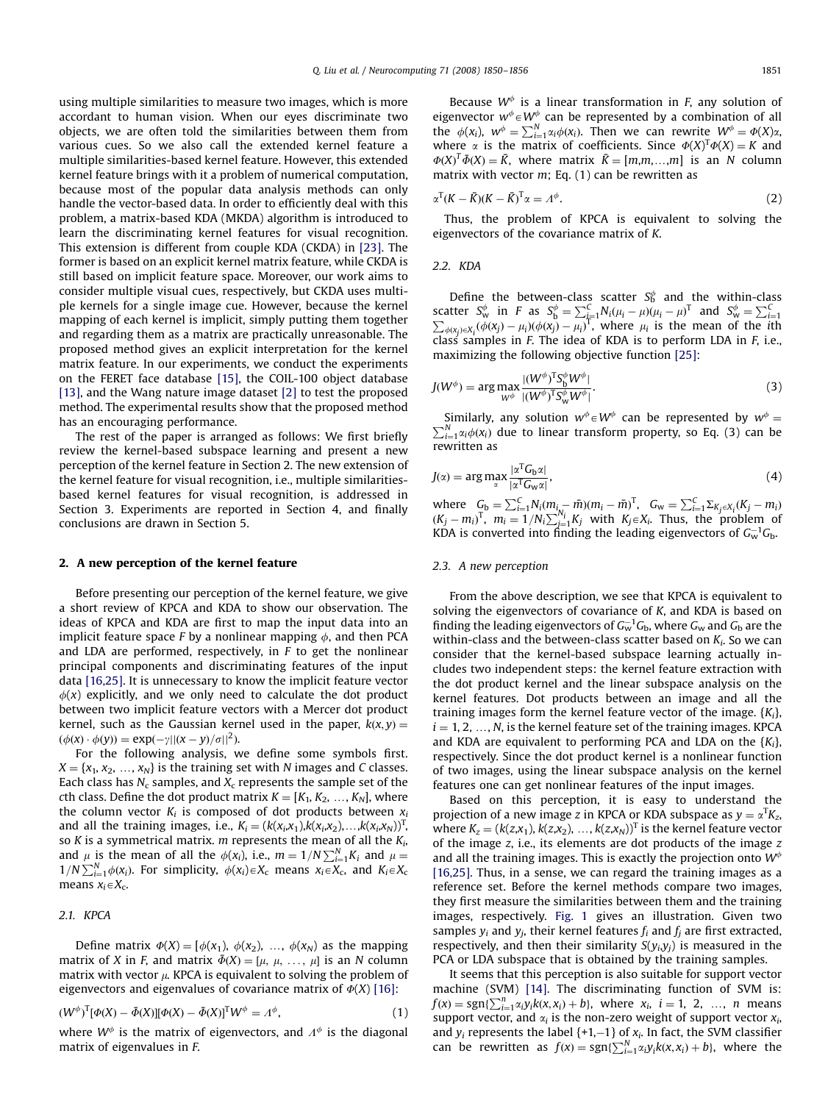using multiple similarities to measure two images, which is more accordant to human vision. When our eyes discriminate two objects, we are often told the similarities between them from various cues. So we also call the extended kernel feature a multiple similarities-based kernel feature. However, this extended kernel feature brings with it a problem of numerical computation, because most of the popular data analysis methods can only handle the vector-based data. In order to efficiently deal with this problem, a matrix-based KDA (MKDA) algorithm is introduced to learn the discriminating kernel features for visual recognition. This extension is different from couple KDA (CKDA) in [\[23\]](#page-5-0). The former is based on an explicit kernel matrix feature, while CKDA is still based on implicit feature space. Moreover, our work aims to consider multiple visual cues, respectively, but CKDA uses multiple kernels for a single image cue. However, because the kernel mapping of each kernel is implicit, simply putting them together and regarding them as a matrix are practically unreasonable. The proposed method gives an explicit interpretation for the kernel matrix feature. In our experiments, we conduct the experiments on the FERET face database [\[15\],](#page-5-0) the COIL-100 object database [\[13\],](#page-5-0) and the Wang nature image dataset [\[2\]](#page-5-0) to test the proposed method. The experimental results show that the proposed method has an encouraging performance.

The rest of the paper is arranged as follows: We first briefly review the kernel-based subspace learning and present a new perception of the kernel feature in Section 2. The new extension of the kernel feature for visual recognition, i.e., multiple similaritiesbased kernel features for visual recognition, is addressed in Section 3. Experiments are reported in Section 4, and finally conclusions are drawn in Section 5.

# 2. A new perception of the kernel feature

Before presenting our perception of the kernel feature, we give a short review of KPCA and KDA to show our observation. The ideas of KPCA and KDA are first to map the input data into an implicit feature space F by a nonlinear mapping  $\phi$ , and then PCA and LDA are performed, respectively, in  $F$  to get the nonlinear principal components and discriminating features of the input data [\[16,25\]](#page-5-0). It is unnecessary to know the implicit feature vector  $\phi(x)$  explicitly, and we only need to calculate the dot product between two implicit feature vectors with a Mercer dot product kernel, such as the Gaussian kernel used in the paper,  $k(x, y) =$  $(\phi(x) \cdot \phi(y)) = \exp(-y||(x-y)/\sigma||^2)$ .

For the following analysis, we define some symbols first.  $X = \{x_1, x_2, ..., x_N\}$  is the training set with N images and C classes. Each class has  $N_c$  samples, and  $X_c$  represents the sample set of the cth class. Define the dot product matrix  $K = [K_1, K_2, ..., K_N]$ , where the column vector  $K_i$  is composed of dot products between  $x_i$ and all the training images, i.e.,  $K_i = (k(x_i,x_1),k(x_i,x_2),\ldots,k(x_i,x_N))^T$ , so K is a symmetrical matrix. m represents the mean of all the  $K_i$ , and  $\mu$  is the mean of all the  $\phi(x_i)$ , i.e.,  $m = 1/N \sum_{i=1}^{N} K_i$  and  $\mu =$  $1/N \sum_{i=1}^{N} \phi(x_i)$ . For simplicity,  $\phi(x_i) \in X_c$  means  $x_i \in X_c$ , and  $K_i \in X_c$ means  $x_i \in X_c$ .

# 2.1. KPCA

Define matrix  $\Phi(X) = [\phi(x_1), \phi(x_2), \dots, \phi(x_N)]$  as the mapping matrix of X in F, and matrix  $\bar{\Phi}(X) = [\mu, \mu, \ldots, \mu]$  is an N column matrix with vector  $\mu$ . KPCA is equivalent to solving the problem of eigenvectors and eigenvalues of covariance matrix of  $\Phi(X)$  [\[16\]](#page-5-0):

$$
(W^{\phi})^{\text{T}}[\Phi(X) - \bar{\Phi}(X)][\Phi(X) - \bar{\Phi}(X)]^{\text{T}}W^{\phi} = \Lambda^{\phi},\tag{1}
$$

where  $W^{\phi}$  is the matrix of eigenvectors, and  $\Lambda^{\phi}$  is the diagonal matrix of eigenvalues in F.

Because  $W^{\phi}$  is a linear transformation in F, any solution of eigenvector  $w^{\phi} \in W^{\phi}$  can be represented by a combination of all the  $\phi(x_i)$ ,  $w^{\phi} = \sum_{i=1}^{N} \alpha_i \phi(x_i)$ . Then we can rewrite  $W^{\phi} = \phi(X)\alpha_i$ where  $\alpha$  is the matrix of coefficients. Since  $\Phi(X)^T \Phi(X) = K$  and  $\Phi(X)^T \bar{\Phi}(X) = \bar{K}$ , where matrix  $\bar{K} = [m,m,\ldots,m]$  is an N column matrix with vector  $m$ ; Eq. (1) can be rewritten as

$$
\alpha^{\mathrm{T}}(K - \bar{K})(K - \bar{K})^{\mathrm{T}}\alpha = \Lambda^{\phi}.
$$
\n(2)

Thus, the problem of KPCA is equivalent to solving the eigenvectors of the covariance matrix of K.

## 2.2. KDA

Define the between-class scatter  $S_b^{\phi}$  and the within-class scatter  $S_w^{\phi}$  in *F* as  $S_b^{\phi} = \sum_{i=1}^{C} N_i (\mu_i - \mu)(\mu_i - \mu)^T$  and  $S_w^{\phi} = \sum_{i=1}^{C} \sum_{j=1}^{C} N_i (\phi(x_j) - \mu_i)(\phi(x_j) - \mu_i)^T$ , where  $\mu_i$  is the mean of the *i*th class samples in F. The idea of KDA is to perform LDA in F, i.e., maximizing the following objective function [\[25\]](#page-5-0):

$$
J(W^{\phi}) = \arg \max_{W^{\phi}} \frac{|(W^{\phi})^{\text{T}} S_{\text{b}}^{\phi} W^{\phi}|}{|(W^{\phi})^{\text{T}} S_{\text{w}}^{\phi} W^{\phi}|}. \tag{3}
$$

Similarly, any solution  $w^{\phi} \in W^{\phi}$  can be represented by  $w^{\phi} =$  $\sum_{i=1}^{N} \alpha_i \phi(x_i)$  due to linear transform property, so Eq. (3) can be rewritten as

$$
J(\alpha) = \arg \max_{\alpha} \frac{|\alpha^{\mathrm{T}} G_{\mathrm{b}} \alpha|}{|\alpha^{\mathrm{T}} G_{\mathrm{w}} \alpha|},\tag{4}
$$

where  $C_{\text{b}} = \sum_{i=1}^{C} N_i (m_i - \bar{m}) (m_i - \bar{m})^{\text{T}}$ ,  $C_{\text{w}} = \sum_{i=1}^{C} \sum_{K_j \in X_i} (K_j - m_i)$  $(K_j - m_i)^T$ ,  $m_i = 1/N_i \sum_{j=1}^{N_i} K_j$  with  $K_j \in X_i$ . Thus, the problem of KDA is converted into finding the leading eigenvectors of  $G_w^{-1}G_b$ .

# 2.3. A new perception

From the above description, we see that KPCA is equivalent to solving the eigenvectors of covariance of K, and KDA is based on finding the leading eigenvectors of  $G_{\rm w}^{-1}G_{\rm b}$ , where  $G_{\rm w}$  and  $G_{\rm b}$  are the within-class and the between-class scatter based on  $K<sub>i</sub>$ . So we can consider that the kernel-based subspace learning actually includes two independent steps: the kernel feature extraction with the dot product kernel and the linear subspace analysis on the kernel features. Dot products between an image and all the training images form the kernel feature vector of the image.  $\{K_i\}$ ,  $i = 1, 2, ..., N$ , is the kernel feature set of the training images. KPCA and KDA are equivalent to performing PCA and LDA on the  $\{K_i\}$ , respectively. Since the dot product kernel is a nonlinear function of two images, using the linear subspace analysis on the kernel features one can get nonlinear features of the input images.

Based on this perception, it is easy to understand the projection of a new image z in KPCA or KDA subspace as  $y = \alpha^T K_{z}$ , where  $K_z = (k(z,x_1), k(z,x_2), ..., k(z,x_N))^T$  is the kernel feature vector of the image z, i.e., its elements are dot products of the image z and all the training images. This is exactly the projection onto  $W^{\phi}$ [\[16,25\]](#page-5-0). Thus, in a sense, we can regard the training images as a reference set. Before the kernel methods compare two images, they first measure the similarities between them and the training images, respectively. [Fig. 1](#page-2-0) gives an illustration. Given two samples  $y_i$  and  $y_j$ , their kernel features  $f_i$  and  $f_j$  are first extracted, respectively, and then their similarity  $S(y_i, y_j)$  is measured in the PCA or LDA subspace that is obtained by the training samples.

It seems that this perception is also suitable for support vector machine (SVM) [\[14\].](#page-5-0) The discriminating function of SVM is:  $f(x) = \text{sgn}\left\{\sum_{i=1}^{n} \alpha_i y_i k(x, x_i) + b\right\}$ , where  $x_i$ ,  $i = 1, 2, ..., n$  means support vector, and  $\alpha_i$  is the non-zero weight of support vector  $x_i$ , and  $y_i$  represents the label  $\{+1,-1\}$  of  $x_i$ . In fact, the SVM classifier can be rewritten as  $f(x) = \text{sgn}\left\{\sum_{i=1}^{N} \alpha_i y_i k(x, x_i) + b\right\}$ , where the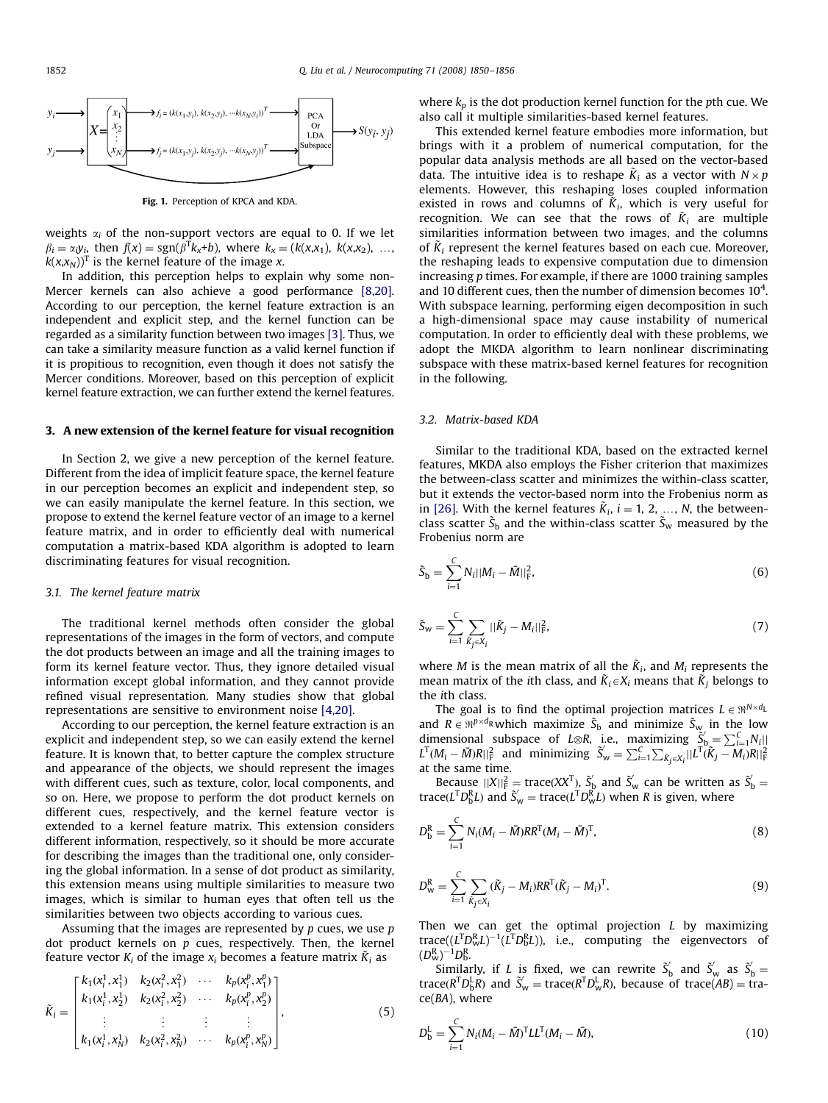<span id="page-2-0"></span>

Fig. 1. Perception of KPCA and KDA.

weights  $\alpha_i$  of the non-support vectors are equal to 0. If we let  $\beta_i = \alpha_i y_i$ , then  $f(x) = \text{sgn}(\beta^T k_x + b)$ , where  $k_x = (k(x, x_1), k(x, x_2), \dots, k(x, x_n))$  $k(x,x_N)$ <sup>T</sup> is the kernel feature of the image x.

In addition, this perception helps to explain why some non-Mercer kernels can also achieve a good performance [\[8,20\].](#page-5-0) According to our perception, the kernel feature extraction is an independent and explicit step, and the kernel function can be regarded as a similarity function between two images [\[3\]](#page-5-0). Thus, we can take a similarity measure function as a valid kernel function if it is propitious to recognition, even though it does not satisfy the Mercer conditions. Moreover, based on this perception of explicit kernel feature extraction, we can further extend the kernel features.

## 3. A new extension of the kernel feature for visual recognition

In Section 2, we give a new perception of the kernel feature. Different from the idea of implicit feature space, the kernel feature in our perception becomes an explicit and independent step, so we can easily manipulate the kernel feature. In this section, we propose to extend the kernel feature vector of an image to a kernel feature matrix, and in order to efficiently deal with numerical computation a matrix-based KDA algorithm is adopted to learn discriminating features for visual recognition.

## 3.1. The kernel feature matrix

The traditional kernel methods often consider the global representations of the images in the form of vectors, and compute the dot products between an image and all the training images to form its kernel feature vector. Thus, they ignore detailed visual information except global information, and they cannot provide refined visual representation. Many studies show that global representations are sensitive to environment noise [\[4,20\].](#page-5-0)

According to our perception, the kernel feature extraction is an explicit and independent step, so we can easily extend the kernel feature. It is known that, to better capture the complex structure and appearance of the objects, we should represent the images with different cues, such as texture, color, local components, and so on. Here, we propose to perform the dot product kernels on different cues, respectively, and the kernel feature vector is extended to a kernel feature matrix. This extension considers different information, respectively, so it should be more accurate for describing the images than the traditional one, only considering the global information. In a sense of dot product as similarity, this extension means using multiple similarities to measure two images, which is similar to human eyes that often tell us the similarities between two objects according to various cues.

Assuming that the images are represented by  $p$  cues, we use  $p$ dot product kernels on  $p$  cues, respectively. Then, the kernel feature vector  $K_i$  of the image  $x_i$  becomes a feature matrix  $\tilde{K}_i$  as

$$
\tilde{K}_{i} = \begin{bmatrix} k_{1}(x_{i}^{1}, x_{1}^{1}) & k_{2}(x_{i}^{2}, x_{1}^{2}) & \cdots & k_{p}(x_{i}^{p}, x_{1}^{p}) \\ k_{1}(x_{i}^{1}, x_{2}^{1}) & k_{2}(x_{i}^{2}, x_{2}^{2}) & \cdots & k_{p}(x_{i}^{p}, x_{2}^{p}) \\ \vdots & \vdots & \vdots & \vdots \\ k_{1}(x_{i}^{1}, x_{N}^{1}) & k_{2}(x_{i}^{2}, x_{N}^{2}) & \cdots & k_{p}(x_{i}^{p}, x_{N}^{p}) \end{bmatrix},
$$
\n(5)

where  $k_p$  is the dot production kernel function for the pth cue. We also call it multiple similarities-based kernel features.

This extended kernel feature embodies more information, but brings with it a problem of numerical computation, for the popular data analysis methods are all based on the vector-based data. The intuitive idea is to reshape  $\tilde{K}_i$  as a vector with  $N \times p$ elements. However, this reshaping loses coupled information existed in rows and columns of  $\tilde{K}_i$ , which is very useful for recognition. We can see that the rows of  $\tilde{K}_i$  are multiple similarities information between two images, and the columns of  $\tilde{K}_i$  represent the kernel features based on each cue. Moreover, the reshaping leads to expensive computation due to dimension increasing p times. For example, if there are 1000 training samples and 10 different cues, then the number of dimension becomes  $10^4$ . With subspace learning, performing eigen decomposition in such a high-dimensional space may cause instability of numerical computation. In order to efficiently deal with these problems, we adopt the MKDA algorithm to learn nonlinear discriminating subspace with these matrix-based kernel features for recognition in the following.

## 3.2. Matrix-based KDA

Similar to the traditional KDA, based on the extracted kernel features, MKDA also employs the Fisher criterion that maximizes the between-class scatter and minimizes the within-class scatter, but it extends the vector-based norm into the Frobenius norm as in [\[26\].](#page-5-0) With the kernel features  $\tilde{K}_i$ ,  $i = 1, 2, ..., N$ , the betweenclass scatter  $\tilde{S}_b$  and the within-class scatter  $\tilde{S}_w$  measured by the Frobenius norm are

$$
\tilde{S}_{\rm b} = \sum_{i=1}^{C} N_i ||M_i - \bar{M}||_{\rm F}^2, \tag{6}
$$

$$
\tilde{S}_{w} = \sum_{i=1}^{C} \sum_{\tilde{K}_{j} \in X_{i}} ||\tilde{K}_{j} - M_{i}||_{F}^{2},
$$
\n(7)

where *M* is the mean matrix of all the  $\tilde{K}_i$ , and  $M_i$  represents the mean matrix of the ith class, and  $\tilde{K}_i \in X_i$  means that  $\tilde{K}_i$  belongs to the ith class.

The goal is to find the optimal projection matrices  $L \in \Re^{N \times d_L}$ and  $R \in \mathbb{R}^{p \times d_R}$  which maximize  $\tilde{S}_b$  and minimize  $\tilde{S}_w$  in the low dimensional subspace of L⊗R, i.e., maximizing  $\tilde{S}_b = \sum_{i=1}^{C} N_i$  $L^{T}(M_i - \bar{M})R||_F^2$  and minimizing  $\tilde{S}_w = \sum_{i=1}^C \sum_{\tilde{K}_j \in X_i} ||L^{T}(\tilde{K}_j - \bar{M}_i)R||_F^2$ at the same time.

Because  $||X||_F^2 = \text{trace}(XX^T)$ ,  $\tilde{S}_b$  and  $\tilde{S}_w$  can be written as  $\tilde{S}_b =$ trace( $L^{T}D_{b}^{R}L$ ) and  $\tilde{S}_{w} = \text{trace}(L^{T}D_{w}^{R}L)$  when R is given, where

$$
D_{\rm b}^{\rm R} = \sum_{i=1}^{C} N_i (M_i - \bar{M}) R R^{\rm T} (M_i - \bar{M})^{\rm T}, \qquad (8)
$$

$$
D_{\rm w}^{\rm R} = \sum_{i=1}^{C} \sum_{\tilde{K}_j \in X_i} (\tilde{K}_j - M_i) R R^{\rm T} (\tilde{K}_j - M_i)^{\rm T}.
$$
 (9)

Then we can get the optimal projection  $L$  by maximizing trace( $(L^T D_w^R L)^{-1} (L^T D_b^R L)$ ), i.e., computing the eigenvectors of  $(D_{\rm W}^{\rm R})^{-1}D_{\rm b}^{\rm R}.$ 

Similarly, if L is fixed, we can rewrite  $\tilde{S}_b$  and  $\tilde{S}_w$  as  $\tilde{S}_b$  = trace( $R^T D_B^L R$ ) and  $\tilde{S}_w$  = trace( $R^T D_w^L R$ ), because of trace( $AB$ ) = trace(BA), where

$$
D_{\rm b}^{\rm L} = \sum_{i=1}^{C} N_i (M_i - \bar{M})^{\rm T} L L^{\rm T} (M_i - \bar{M}), \qquad (10)
$$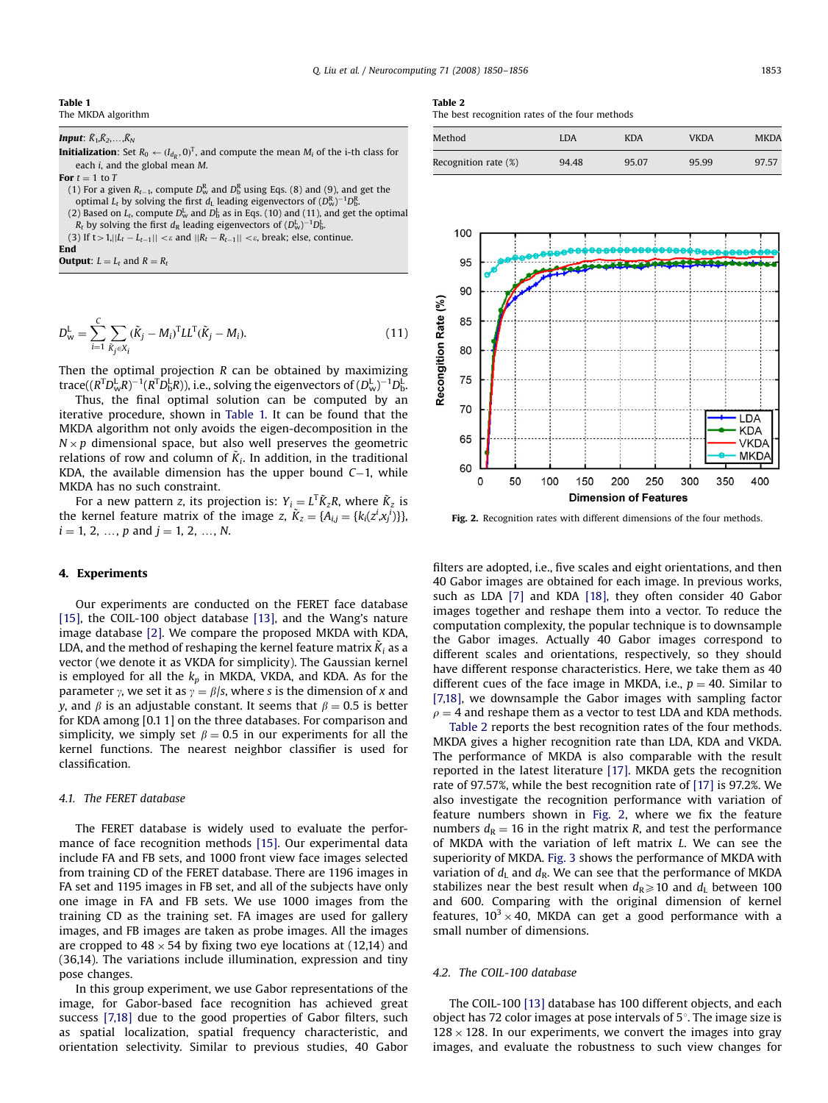#### Table 1 The MKDA algorithm

Input:  $\bar{K}_1, \bar{K}_2, \ldots, \bar{K}_N$ 

**Initialization**: Set  $R_0 \leftarrow (I_{d_R}, 0)^T$ , and compute the mean  $M_i$  of the i-th class for each i, and the global mean M.

For  $t = 1$  to T

(1) For a given  $R_{t-1}$ , compute  $D_w^R$  and  $D_b^R$  using Eqs. (8) and (9), and get the optimal  $L_t$  by solving the first  $d_{\rm L}$  leading eigenvectors of  $(D_{\rm w}^{\rm R})^{-1}D_{\rm b}^{\rm R}$ .

(2) Based on  $L_t$ , compute  $D_w^L$  and  $D_b^L$  as in Eqs. (10) and (11), and get the optimal  $R_t$  by solving the first  $d_R$  leading eigenvectors of  $(D^{\rm L}_{\rm w})^{-1}D^{\rm L}_{\rm b}$ .

(3) If  $t > 1, ||L_t - L_{t-1}|| < \varepsilon$  and  $||R_t - R_{t-1}|| < \varepsilon$ , break; else, continue.

End

**Output:**  $L = L_t$  and  $R = R_t$ 

$$
D_{\mathbf{w}}^{\mathbf{L}} = \sum_{i=1}^{C} \sum_{\tilde{K}_{j} \in X_{i}} (\tilde{K}_{j} - M_{i})^{\mathrm{T}} L L^{\mathrm{T}} (\tilde{K}_{j} - M_{i}).
$$
\n(11)

Then the optimal projection R can be obtained by maximizing trace(( $R^{\rm T}D_{\rm w}^{\rm L}R)^{-1}(R^{\rm T}D_{\rm b}^{\rm L}R)$ ), i.e., solving the eigenvectors of  $(D_{\rm w}^{\rm L})^{-1}D_{\rm b}^{\rm L}$ 

Thus, the final optimal solution can be computed by an iterative procedure, shown in Table 1. It can be found that the MKDA algorithm not only avoids the eigen-decomposition in the  $N \times p$  dimensional space, but also well preserves the geometric relations of row and column of  $\tilde{K}_i$ . In addition, in the traditional KDA, the available dimension has the upper bound  $C-1$ , while MKDA has no such constraint.

For a new pattern z, its projection is:  $Y_i = L^T \tilde{K}_z R$ , where  $\tilde{K}_z$  is the kernel feature matrix of the image z,  $\tilde{K}_z = \{A_{i,j} = \{k_i(z^i, x^i_j)\}\}\$  $i = 1, 2, ..., p$  and  $j = 1, 2, ..., N$ .

## 4. Experiments

Our experiments are conducted on the FERET face database [\[15\],](#page-5-0) the COIL-100 object database [\[13\],](#page-5-0) and the Wang's nature image database [\[2\].](#page-5-0) We compare the proposed MKDA with KDA, LDA, and the method of reshaping the kernel feature matrix  $\tilde{K}_i$  as a vector (we denote it as VKDA for simplicity). The Gaussian kernel is employed for all the  $k_p$  in MKDA, VKDA, and KDA. As for the parameter y, we set it as  $y = \beta/s$ , where s is the dimension of x and y, and  $\beta$  is an adjustable constant. It seems that  $\beta = 0.5$  is better for KDA among [0.1 1] on the three databases. For comparison and simplicity, we simply set  $\beta = 0.5$  in our experiments for all the kernel functions. The nearest neighbor classifier is used for classification.

## 4.1. The FERET database

The FERET database is widely used to evaluate the performance of face recognition methods [\[15\].](#page-5-0) Our experimental data include FA and FB sets, and 1000 front view face images selected from training CD of the FERET database. There are 1196 images in FA set and 1195 images in FB set, and all of the subjects have only one image in FA and FB sets. We use 1000 images from the training CD as the training set. FA images are used for gallery images, and FB images are taken as probe images. All the images are cropped to  $48 \times 54$  by fixing two eye locations at (12,14) and (36,14). The variations include illumination, expression and tiny pose changes.

In this group experiment, we use Gabor representations of the image, for Gabor-based face recognition has achieved great success [\[7,18\]](#page-5-0) due to the good properties of Gabor filters, such as spatial localization, spatial frequency characteristic, and orientation selectivity. Similar to previous studies, 40 Gabor

# Table 2

The best recognition rates of the four methods

| Method                  | LDA   | <b>KDA</b> | <b>VKDA</b> | <b>MKDA</b> |
|-------------------------|-------|------------|-------------|-------------|
| Recognition rate $(\%)$ | 94.48 | 95.07      | 95.99       | 97.57       |



Fig. 2. Recognition rates with different dimensions of the four methods.

filters are adopted, i.e., five scales and eight orientations, and then 40 Gabor images are obtained for each image. In previous works, such as LDA [\[7\]](#page-5-0) and KDA [\[18\]](#page-5-0), they often consider 40 Gabor images together and reshape them into a vector. To reduce the computation complexity, the popular technique is to downsample the Gabor images. Actually 40 Gabor images correspond to different scales and orientations, respectively, so they should have different response characteristics. Here, we take them as 40 different cues of the face image in MKDA, i.e.,  $p = 40$ . Similar to [\[7,18\]](#page-5-0), we downsample the Gabor images with sampling factor  $\rho = 4$  and reshape them as a vector to test LDA and KDA methods.

Table 2 reports the best recognition rates of the four methods. MKDA gives a higher recognition rate than LDA, KDA and VKDA. The performance of MKDA is also comparable with the result reported in the latest literature [\[17\].](#page-5-0) MKDA gets the recognition rate of 97.57%, while the best recognition rate of [\[17\]](#page-5-0) is 97.2%. We also investigate the recognition performance with variation of feature numbers shown in Fig. 2, where we fix the feature numbers  $d_{\rm R} = 16$  in the right matrix R, and test the performance of MKDA with the variation of left matrix L. We can see the superiority of MKDA. [Fig. 3](#page-4-0) shows the performance of MKDA with variation of  $d_L$  and  $d_R$ . We can see that the performance of MKDA stabilizes near the best result when  $d_R \ge 10$  and  $d_L$  between 100 and 600. Comparing with the original dimension of kernel features,  $10^3 \times 40$ , MKDA can get a good performance with a small number of dimensions.

## 4.2. The COIL-100 database

The COIL-100 [\[13\]](#page-5-0) database has 100 different objects, and each object has 72 color images at pose intervals of  $5^\circ$ . The image size is  $128 \times 128$ . In our experiments, we convert the images into gray images, and evaluate the robustness to such view changes for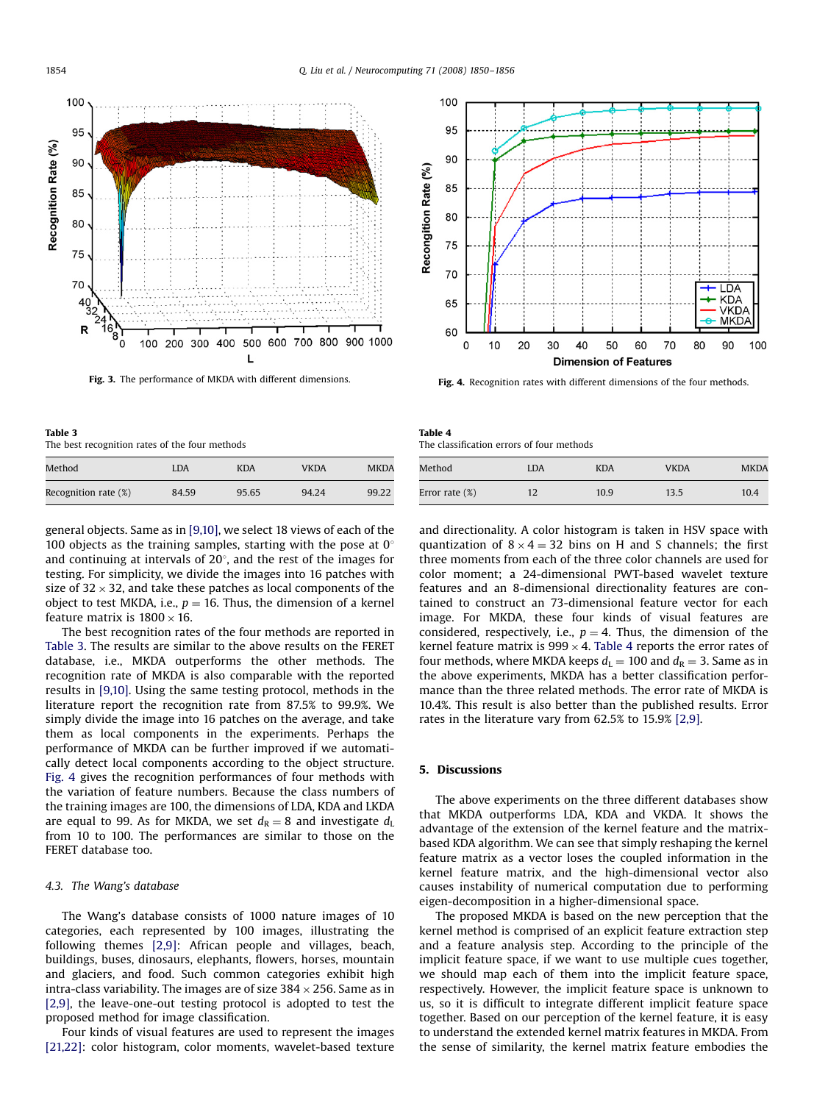<span id="page-4-0"></span>

Fig. 3. The performance of MKDA with different dimensions.



Fig. 4. Recognition rates with different dimensions of the four methods.

| Table 3                                        |  |
|------------------------------------------------|--|
| The best recognition rates of the four methods |  |

| Method               | <b>LDA</b> | <b>KDA</b> | <b>VKDA</b> | <b>MKDA</b> |
|----------------------|------------|------------|-------------|-------------|
| Recognition rate (%) | 84.59      | 95.65      | 94.24       | 99.22       |

general objects. Same as in [\[9,10\]](#page-5-0), we select 18 views of each of the 100 objects as the training samples, starting with the pose at  $0^\circ$ and continuing at intervals of  $20^{\circ}$ , and the rest of the images for testing. For simplicity, we divide the images into 16 patches with size of 32  $\times$  32, and take these patches as local components of the object to test MKDA, i.e.,  $p = 16$ . Thus, the dimension of a kernel feature matrix is 1800  $\times$  16.

The best recognition rates of the four methods are reported in Table 3. The results are similar to the above results on the FERET database, i.e., MKDA outperforms the other methods. The recognition rate of MKDA is also comparable with the reported results in [\[9,10\].](#page-5-0) Using the same testing protocol, methods in the literature report the recognition rate from 87.5% to 99.9%. We simply divide the image into 16 patches on the average, and take them as local components in the experiments. Perhaps the performance of MKDA can be further improved if we automatically detect local components according to the object structure. Fig. 4 gives the recognition performances of four methods with the variation of feature numbers. Because the class numbers of the training images are 100, the dimensions of LDA, KDA and LKDA are equal to 99. As for MKDA, we set  $d_R = 8$  and investigate  $d_L$ from 10 to 100. The performances are similar to those on the FERET database too.

## 4.3. The Wang's database

The Wang's database consists of 1000 nature images of 10 categories, each represented by 100 images, illustrating the following themes [\[2,9\]](#page-5-0): African people and villages, beach, buildings, buses, dinosaurs, elephants, flowers, horses, mountain and glaciers, and food. Such common categories exhibit high intra-class variability. The images are of size 384  $\times$  256. Same as in [\[2,9\]](#page-5-0), the leave-one-out testing protocol is adopted to test the proposed method for image classification.

Four kinds of visual features are used to represent the images [\[21,22\]:](#page-5-0) color histogram, color moments, wavelet-based texture

| Table 4                                   |  |  |
|-------------------------------------------|--|--|
| The classification errors of four methods |  |  |

| Method            | LDA | KDA  | <b>VKDA</b> | <b>MKDA</b> |
|-------------------|-----|------|-------------|-------------|
| Error rate $(\%)$ | 12  | 10.9 | 13.5        | 10.4        |

and directionality. A color histogram is taken in HSV space with quantization of  $8 \times 4 = 32$  bins on H and S channels; the first three moments from each of the three color channels are used for color moment; a 24-dimensional PWT-based wavelet texture features and an 8-dimensional directionality features are contained to construct an 73-dimensional feature vector for each image. For MKDA, these four kinds of visual features are considered, respectively, i.e.,  $p = 4$ . Thus, the dimension of the kernel feature matrix is  $999 \times 4$ . Table 4 reports the error rates of four methods, where MKDA keeps  $d_L = 100$  and  $d_R = 3$ . Same as in the above experiments, MKDA has a better classification performance than the three related methods. The error rate of MKDA is 10.4%. This result is also better than the published results. Error rates in the literature vary from 62.5% to 15.9% [\[2,9\].](#page-5-0)

## 5. Discussions

The above experiments on the three different databases show that MKDA outperforms LDA, KDA and VKDA. It shows the advantage of the extension of the kernel feature and the matrixbased KDA algorithm. We can see that simply reshaping the kernel feature matrix as a vector loses the coupled information in the kernel feature matrix, and the high-dimensional vector also causes instability of numerical computation due to performing eigen-decomposition in a higher-dimensional space.

The proposed MKDA is based on the new perception that the kernel method is comprised of an explicit feature extraction step and a feature analysis step. According to the principle of the implicit feature space, if we want to use multiple cues together, we should map each of them into the implicit feature space, respectively. However, the implicit feature space is unknown to us, so it is difficult to integrate different implicit feature space together. Based on our perception of the kernel feature, it is easy to understand the extended kernel matrix features in MKDA. From the sense of similarity, the kernel matrix feature embodies the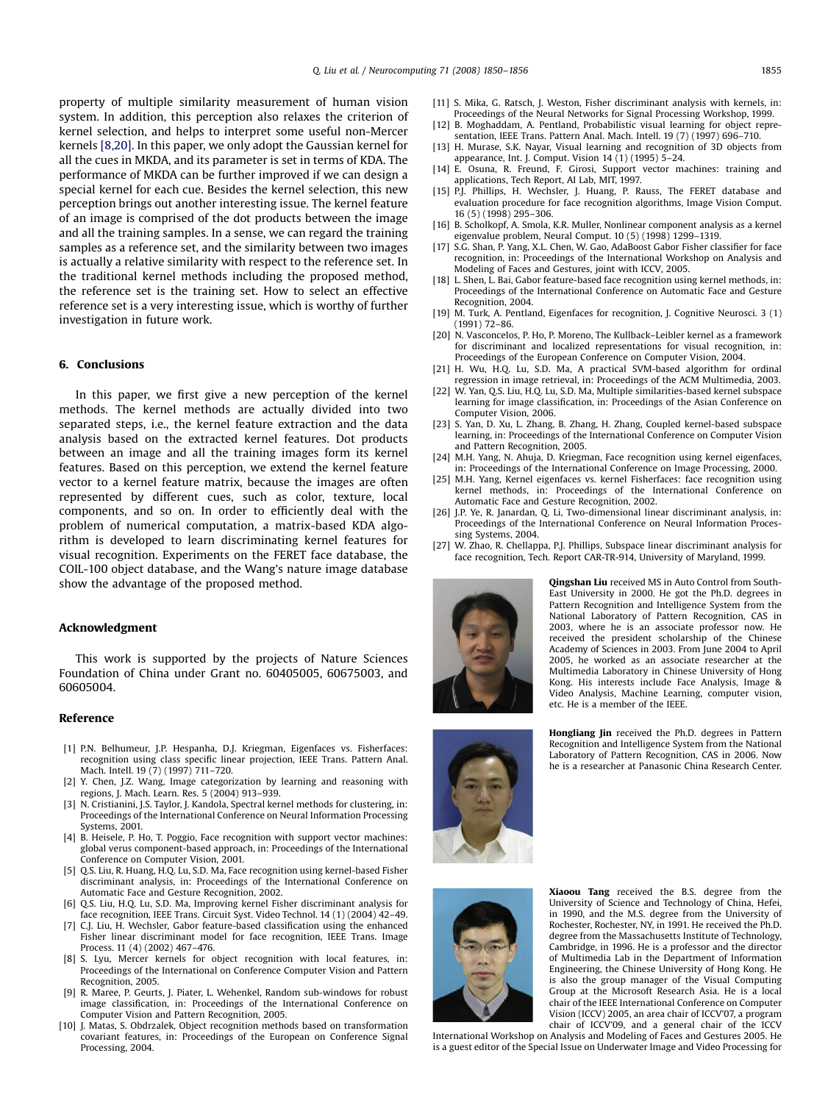<span id="page-5-0"></span>property of multiple similarity measurement of human vision system. In addition, this perception also relaxes the criterion of kernel selection, and helps to interpret some useful non-Mercer kernels [8,20]. In this paper, we only adopt the Gaussian kernel for all the cues in MKDA, and its parameter is set in terms of KDA. The performance of MKDA can be further improved if we can design a special kernel for each cue. Besides the kernel selection, this new perception brings out another interesting issue. The kernel feature of an image is comprised of the dot products between the image and all the training samples. In a sense, we can regard the training samples as a reference set, and the similarity between two images is actually a relative similarity with respect to the reference set. In the traditional kernel methods including the proposed method, the reference set is the training set. How to select an effective reference set is a very interesting issue, which is worthy of further investigation in future work.

# 6. Conclusions

In this paper, we first give a new perception of the kernel methods. The kernel methods are actually divided into two separated steps, i.e., the kernel feature extraction and the data analysis based on the extracted kernel features. Dot products between an image and all the training images form its kernel features. Based on this perception, we extend the kernel feature vector to a kernel feature matrix, because the images are often represented by different cues, such as color, texture, local components, and so on. In order to efficiently deal with the problem of numerical computation, a matrix-based KDA algorithm is developed to learn discriminating kernel features for visual recognition. Experiments on the FERET face database, the COIL-100 object database, and the Wang's nature image database show the advantage of the proposed method.

### Acknowledgment

This work is supported by the projects of Nature Sciences Foundation of China under Grant no. 60405005, 60675003, and 60605004.

# Reference

- [1] P.N. Belhumeur, J.P. Hespanha, D.J. Kriegman, Eigenfaces vs. Fisherfaces: recognition using class specific linear projection, IEEE Trans. Pattern Anal. Mach. Intell. 19 (7) (1997) 711–720.
- [2] Y. Chen, J.Z. Wang, Image categorization by learning and reasoning with regions, J. Mach. Learn. Res. 5 (2004) 913–939.
- [3] N. Cristianini, J.S. Taylor, J. Kandola, Spectral kernel methods for clustering, in: Proceedings of the International Conference on Neural Information Processing Systems, 2001.
- [4] B. Heisele, P. Ho, T. Poggio, Face recognition with support vector machines: global verus component-based approach, in: Proceedings of the International Conference on Computer Vision, 2001.
- [5] Q.S. Liu, R. Huang, H.Q. Lu, S.D. Ma, Face recognition using kernel-based Fisher discriminant analysis, in: Proceedings of the International Conference on Automatic Face and Gesture Recognition, 2002.
- [6] Q.S. Liu, H.Q. Lu, S.D. Ma, Improving kernel Fisher discriminant analysis for face recognition, IEEE Trans. Circuit Syst. Video Technol. 14 (1) (2004) 42–49.
- [7] C.J. Liu, H. Wechsler, Gabor feature-based classification using the enhanced Fisher linear discriminant model for face recognition, IEEE Trans. Image Process. 11 (4) (2002) 467–476.
- [8] S. Lyu, Mercer kernels for object recognition with local features, in: Proceedings of the International on Conference Computer Vision and Pattern Recognition, 2005.
- [9] R. Maree, P. Geurts, J. Piater, L. Wehenkel, Random sub-windows for robust image classification, in: Proceedings of the International Conference on Computer Vision and Pattern Recognition, 2005.
- [10] J. Matas, S. Obdrzalek, Object recognition methods based on transformation covariant features, in: Proceedings of the European on Conference Signal Processing, 2004.
- [11] S. Mika, G. Ratsch, J. Weston, Fisher discriminant analysis with kernels, in: Proceedings of the Neural Networks for Signal Processing Workshop, 1999.
- [12] B. Moghaddam, A. Pentland, Probabilistic visual learning for object representation, IEEE Trans. Pattern Anal. Mach. Intell. 19 (7) (1997) 696–710.
- [13] H. Murase, S.K. Nayar, Visual learning and recognition of 3D objects from appearance, Int. J. Comput. Vision 14 (1) (1995) 5–24.
- [14] E. Osuna, R. Freund, F. Girosi, Support vector machines: training and applications, Tech Report, AI Lab, MIT, 1997.
- [15] P.J. Phillips, H. Wechsler, J. Huang, P. Rauss, The FERET database and evaluation procedure for face recognition algorithms, Image Vision Comput. 16 (5) (1998) 295–306.
- [16] B. Scholkopf, A. Smola, K.R. Muller, Nonlinear component analysis as a kernel eigenvalue problem, Neural Comput. 10 (5) (1998) 1299–1319.
- [17] S.G. Shan, P. Yang, X.L. Chen, W. Gao, AdaBoost Gabor Fisher classifier for face recognition, in: Proceedings of the International Workshop on Analysis and Modeling of Faces and Gestures, joint with ICCV, 2005.
- [18] L. Shen, L. Bai, Gabor feature-based face recognition using kernel methods, in: Proceedings of the International Conference on Automatic Face and Gesture Recognition, 2004.
- [19] M. Turk, A. Pentland, Eigenfaces for recognition, J. Cognitive Neurosci. 3 (1) (1991) 72–86.
- [20] N. Vasconcelos, P. Ho, P. Moreno, The Kullback–Leibler kernel as a framework for discriminant and localized representations for visual recognition, in: Proceedings of the European Conference on Computer Vision, 2004.
- [21] H. Wu, H.Q. Lu, S.D. Ma, A practical SVM-based algorithm for ordinal regression in image retrieval, in: Proceedings of the ACM Multimedia, 2003.
- [22] W. Yan, Q.S. Liu, H.Q. Lu, S.D. Ma, Multiple similarities-based kernel subspace learning for image classification, in: Proceedings of the Asian Conference on Computer Vision, 2006.
- [23] S. Yan, D. Xu, L. Zhang, B. Zhang, H. Zhang, Coupled kernel-based subspace learning, in: Proceedings of the International Conference on Computer Vision and Pattern Recognition, 2005.
- [24] M.H. Yang, N. Ahuja, D. Kriegman, Face recognition using kernel eigenfaces, in: Proceedings of the International Conference on Image Processing, 2000.
- [25] M.H. Yang, Kernel eigenfaces vs. kernel Fisherfaces: face recognition using kernel methods, in: Proceedings of the International Conference on Automatic Face and Gesture Recognition, 2002.
- [26] J.P. Ye, R. Janardan, Q. Li, Two-dimensional linear discriminant analysis, in: Proceedings of the International Conference on Neural Information Processing Systems, 2004.
- [27] W. Zhao, R. Chellappa, P.J. Phillips, Subspace linear discriminant analysis for face recognition, Tech. Report CAR-TR-914, University of Maryland, 1999.



Qingshan Liu received MS in Auto Control from South-East University in 2000. He got the Ph.D. degrees in Pattern Recognition and Intelligence System from the National Laboratory of Pattern Recognition, CAS in 2003, where he is an associate professor now. He received the president scholarship of the Chinese Academy of Sciences in 2003. From June 2004 to April 2005, he worked as an associate researcher at the Multimedia Laboratory in Chinese University of Hong Kong. His interests include Face Analysis, Image & Video Analysis, Machine Learning, computer vision, etc. He is a member of the IEEE.

Hongliang Jin received the Ph.D. degrees in Pattern Recognition and Intelligence System from the National Laboratory of Pattern Recognition, CAS in 2006. Now he is a researcher at Panasonic China Research Center.



Xiaoou Tang received the B.S. degree from the University of Science and Technology of China, Hefei, in 1990, and the M.S. degree from the University of Rochester, Rochester, NY, in 1991. He received the Ph.D. degree from the Massachusetts Institute of Technology, Cambridge, in 1996. He is a professor and the director of Multimedia Lab in the Department of Information Engineering, the Chinese University of Hong Kong. He is also the group manager of the Visual Computing Group at the Microsoft Research Asia. He is a local chair of the IEEE International Conference on Computer Vision (ICCV) 2005, an area chair of ICCV'07, a program chair of ICCV'09, and a general chair of the ICCV

International Workshop on Analysis and Modeling of Faces and Gestures 2005. He is a guest editor of the Special Issue on Underwater Image and Video Processing for